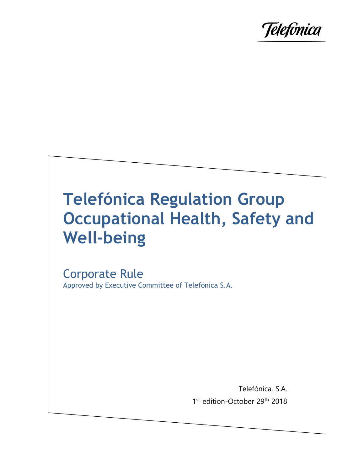

# **Telefónica Regulation Group Occupational Health, Safety and Well-being**

Corporate Rule Approved by Executive Committee of Telefónica S.A.

> Telefónica, S.A. 1st edition-October 29<sup>th</sup> 2018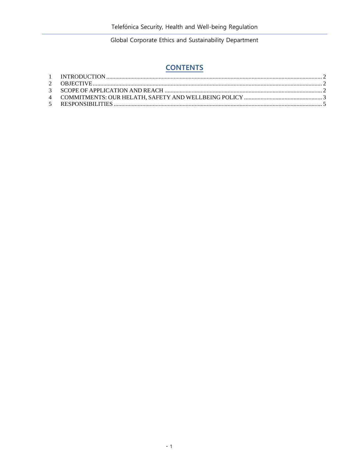## **CONTENTS**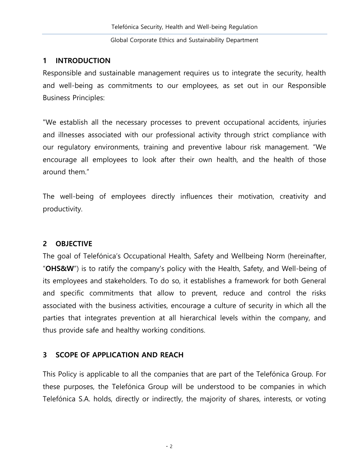#### <span id="page-2-0"></span>**1 INTRODUCTION**

Responsible and sustainable management requires us to integrate the security, health and well-being as commitments to our employees, as set out in our Responsible Business Principles:

"We establish all the necessary processes to prevent occupational accidents, injuries and illnesses associated with our professional activity through strict compliance with our regulatory environments, training and preventive labour risk management. "We encourage all employees to look after their own health, and the health of those around them."

The well-being of employees directly influences their motivation, creativity and productivity.

### <span id="page-2-1"></span>**2 OBJECTIVE**

The goal of Telefónica's Occupational Health, Safety and Wellbeing Norm (hereinafter, "**OHS&W**") is to ratify the company's policy with the Health, Safety, and Well-being of its employees and stakeholders. To do so, it establishes a framework for both General and specific commitments that allow to prevent, reduce and control the risks associated with the business activities, encourage a culture of security in which all the parties that integrates prevention at all hierarchical levels within the company, and thus provide safe and healthy working conditions.

#### <span id="page-2-2"></span>**3 SCOPE OF APPLICATION AND REACH**

This Policy is applicable to all the companies that are part of the Telefónica Group. For these purposes, the Telefónica Group will be understood to be companies in which Telefónica S.A. holds, directly or indirectly, the majority of shares, interests, or voting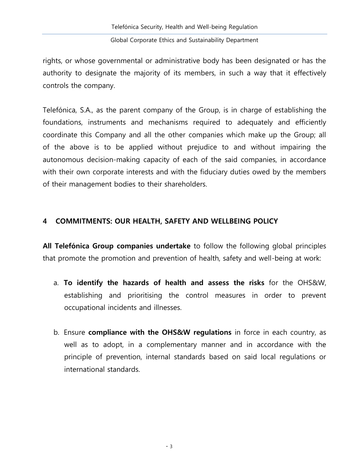rights, or whose governmental or administrative body has been designated or has the authority to designate the majority of its members, in such a way that it effectively controls the company.

Telefónica, S.A., as the parent company of the Group, is in charge of establishing the foundations, instruments and mechanisms required to adequately and efficiently coordinate this Company and all the other companies which make up the Group; all of the above is to be applied without prejudice to and without impairing the autonomous decision-making capacity of each of the said companies, in accordance with their own corporate interests and with the fiduciary duties owed by the members of their management bodies to their shareholders.

#### <span id="page-3-0"></span>**4 COMMITMENTS: OUR HEALTH, SAFETY AND WELLBEING POLICY**

**All Telefónica Group companies undertake** to follow the following global principles that promote the promotion and prevention of health, safety and well-being at work:

- a. **To identify the hazards of health and assess the risks** for the OHS&W, establishing and prioritising the control measures in order to prevent occupational incidents and illnesses.
- b. Ensure **compliance with the OHS&W regulations** in force in each country, as well as to adopt, in a complementary manner and in accordance with the principle of prevention, internal standards based on said local regulations or international standards.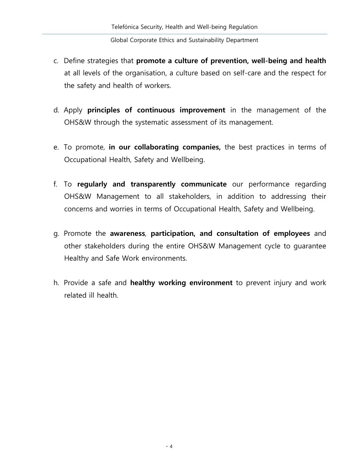- c. Define strategies that **promote a culture of prevention, well-being and health**  at all levels of the organisation, a culture based on self-care and the respect for the safety and health of workers.
- d. Apply **principles of continuous improvement** in the management of the OHS&W through the systematic assessment of its management.
- e. To promote, **in our collaborating companies,** the best practices in terms of Occupational Health, Safety and Wellbeing.
- f. To **regularly and transparently communicate** our performance regarding OHS&W Management to all stakeholders, in addition to addressing their concerns and worries in terms of Occupational Health, Safety and Wellbeing.
- g. Promote the **awareness**, **participation, and consultation of employees** and other stakeholders during the entire OHS&W Management cycle to guarantee Healthy and Safe Work environments.
- h. Provide a safe and **healthy working environment** to prevent injury and work related ill health.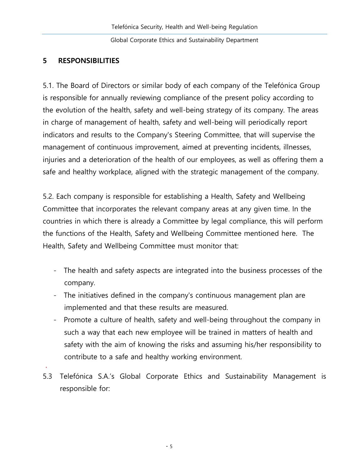#### <span id="page-5-0"></span>**5 RESPONSIBILITIES**

.

5.1. The Board of Directors or similar body of each company of the Telefónica Group is responsible for annually reviewing compliance of the present policy according to the evolution of the health, safety and well-being strategy of its company. The areas in charge of management of health, safety and well-being will periodically report indicators and results to the Company's Steering Committee, that will supervise the management of continuous improvement, aimed at preventing incidents, illnesses, injuries and a deterioration of the health of our employees, as well as offering them a safe and healthy workplace, aligned with the strategic management of the company.

5.2. Each company is responsible for establishing a Health, Safety and Wellbeing Committee that incorporates the relevant company areas at any given time. In the countries in which there is already a Committee by legal compliance, this will perform the functions of the Health, Safety and Wellbeing Committee mentioned here. The Health, Safety and Wellbeing Committee must monitor that:

- The health and safety aspects are integrated into the business processes of the company.
- The initiatives defined in the company's continuous management plan are implemented and that these results are measured.
- Promote a culture of health, safety and well-being throughout the company in such a way that each new employee will be trained in matters of health and safety with the aim of knowing the risks and assuming his/her responsibility to contribute to a safe and healthy working environment.
- 5.3 Telefónica S.A.'s Global Corporate Ethics and Sustainability Management is responsible for: